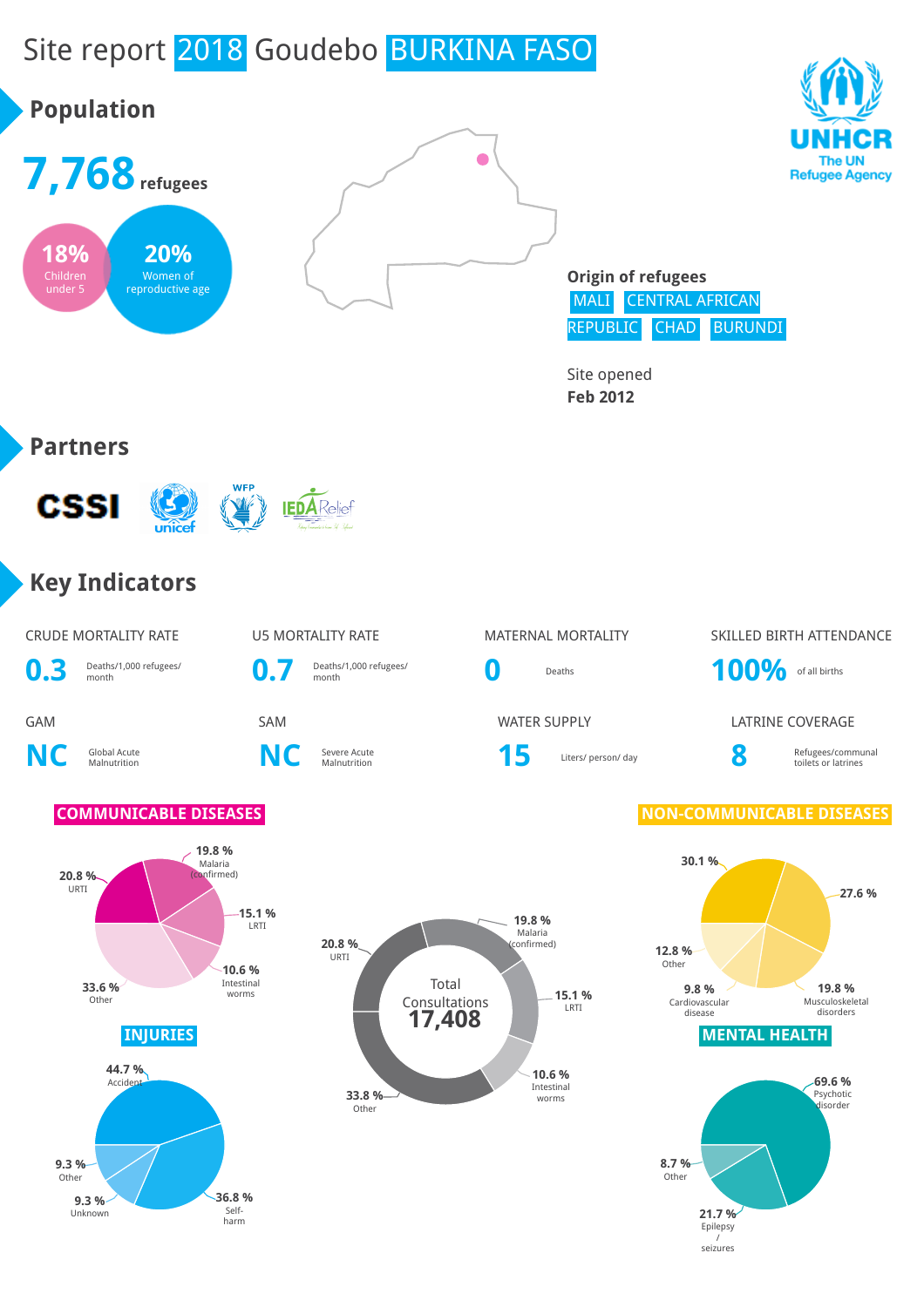# Site report 2018 Goudebo BURKINA FASO









**Origin of refugees** MALI CENTRAL AFRICAN REPUBLIC CHAD BURUNDI

> **21.7 %** Epilepsy / seizures

Other

Site opened **Feb 2012**

#### **Partners**



#### **Key Indicators**

#### CRUDE MORTALITY RATE THE MORTALITY RATE THE MATERNAL MORTALITY THE SKILLED BIRTH ATTENDANCE **0.3** Deaths/1,000 refugees/ **0.7** Deaths/1,000 refugees/ **0** Deaths **100%** of all births GAM SAM SAM WATER SUPPLY LATRINE COVERAGE **NC** Global Acute **C** Severe Acute<br>Malnutrition **NC** Severe Acute Severe Acute **15** Liters/ person/ day **8**<br>Malnutrition Refugees/communal toilets or latrines **COMMUNICABLE DISEASES INJURIES MENTAL HEALTH 20.8 %** URTI **19.8 %** Malaria (confirmed) **15.1 %** LRTI **10.6 %** Intestinal worms **33.6 %** Other **30.1 % 27.6 % 19.8 %** Musculoskeletal disorders **9.8 %** Cardiovascular disease **12.8 %** Other **44.7 %** Accident **69.6 % Psychotic** disorder **8.7 %** Total Consultations **20.8 %** URTI **19.8 %** Malaria (confirmed) **15.1 %** LRTI **10.6 %** Intestinal **33.8 % Other 17,408**

**36.8 %** Selfharm **9.3 %** Unknown **9.3 %** Other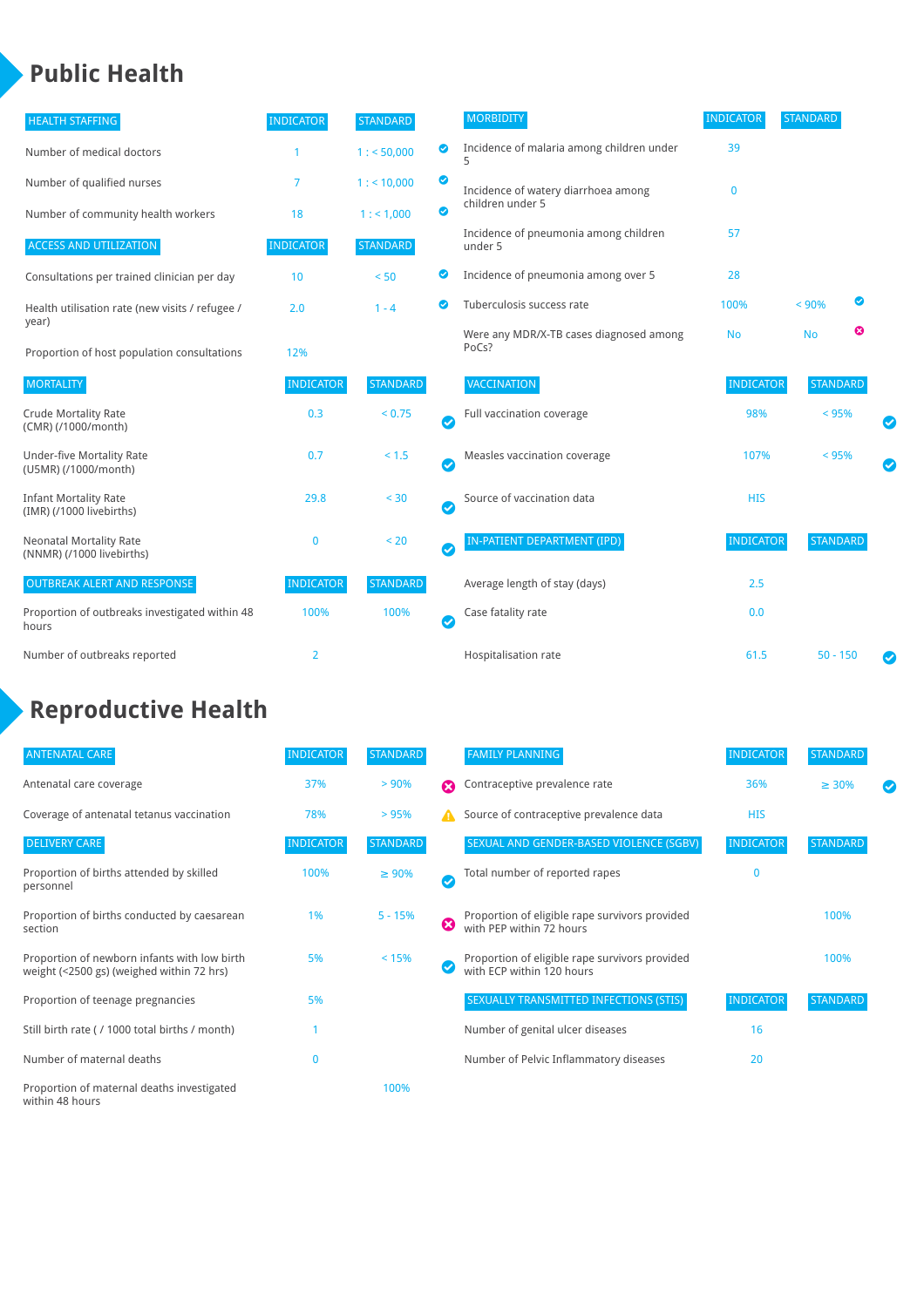#### **Public Health**

| <b>HEALTH STAFFING</b>                                      | <b>INDICATOR</b> | <b>STANDARD</b> |           | <b>MORBIDITY</b>                                 | <b>INDICATOR</b> | <b>STANDARD</b> |   |   |
|-------------------------------------------------------------|------------------|-----------------|-----------|--------------------------------------------------|------------------|-----------------|---|---|
| Number of medical doctors                                   |                  | 1: 50,000       | ◉         | Incidence of malaria among children under        | 39               |                 |   |   |
| Number of qualified nurses                                  | 7                | $1:$ < 10,000   | ◎         | Incidence of watery diarrhoea among              | $\mathbf{0}$     |                 |   |   |
| Number of community health workers                          | 18               | 1: 1,000        | ◙         | children under 5                                 |                  |                 |   |   |
| <b>ACCESS AND UTILIZATION</b>                               | <b>INDICATOR</b> | <b>STANDARD</b> |           | Incidence of pneumonia among children<br>under 5 | 57               |                 |   |   |
| Consultations per trained clinician per day                 | 10               | < 50            | ◙         | Incidence of pneumonia among over 5              | 28               |                 |   |   |
| Health utilisation rate (new visits / refugee /             | 2.0              | $1 - 4$         | ◙         | Tuberculosis success rate                        | 100%             | < 90%           | Ø |   |
| year)<br>Proportion of host population consultations        | 12%              |                 |           | Were any MDR/X-TB cases diagnosed among<br>PoCs? | <b>No</b>        | <b>No</b>       | ఴ |   |
| <b>MORTALITY</b>                                            | <b>INDICATOR</b> | <b>STANDARD</b> |           | <b>VACCINATION</b>                               | <b>INDICATOR</b> | <b>STANDARD</b> |   |   |
| <b>Crude Mortality Rate</b><br>(CMR) (/1000/month)          | 0.3              | < 0.75          | Ø         | Full vaccination coverage                        | 98%              | < 95%           |   |   |
| <b>Under-five Mortality Rate</b><br>(U5MR) (/1000/month)    | 0.7              | $< 1.5$         | $\bullet$ | Measles vaccination coverage                     | 107%             | < 95%           |   | Ø |
| <b>Infant Mortality Rate</b><br>(IMR) (/1000 livebirths)    | 29.8             | < 30            | $\bullet$ | Source of vaccination data                       | <b>HIS</b>       |                 |   |   |
| <b>Neonatal Mortality Rate</b><br>(NNMR) (/1000 livebirths) | $\mathbf 0$      | < 20            | $\bullet$ | IN-PATIENT DEPARTMENT (IPD)                      | <b>INDICATOR</b> | <b>STANDARD</b> |   |   |
| <b>OUTBREAK ALERT AND RESPONSE</b>                          | <b>INDICATOR</b> | <b>STANDARD</b> |           | Average length of stay (days)                    | 2.5              |                 |   |   |
| Proportion of outbreaks investigated within 48<br>hours     | 100%             | 100%            | Ø         | Case fatality rate                               | 0.0              |                 |   |   |
| Number of outbreaks reported                                | $\overline{2}$   |                 |           | Hospitalisation rate                             | 61.5             | $50 - 150$      |   |   |

### **Reproductive Health**

| <b>ANTENATAL CARE</b>                                                                     | <b>INDICATOR</b> | <b>STANDARD</b> |   | <b>FAMILY PLANNING</b>                                                      | <b>INDICATOR</b> | <b>STANDARD</b> |  |
|-------------------------------------------------------------------------------------------|------------------|-----------------|---|-----------------------------------------------------------------------------|------------------|-----------------|--|
| Antenatal care coverage                                                                   | 37%              | > 90%           | Ω | Contraceptive prevalence rate                                               | 36%              | $\geq 30\%$     |  |
| Coverage of antenatal tetanus vaccination                                                 | 78%              | >95%            |   | Source of contraceptive prevalence data                                     | <b>HIS</b>       |                 |  |
| <b>DELIVERY CARE</b>                                                                      | <b>INDICATOR</b> | STANDARD        |   | SEXUAL AND GENDER-BASED VIOLENCE (SGBV)                                     | <b>INDICATOR</b> | <b>STANDARD</b> |  |
| Proportion of births attended by skilled<br>personnel                                     | 100%             | $\geq 90\%$     |   | Total number of reported rapes                                              | $\Omega$         |                 |  |
| Proportion of births conducted by caesarean<br>section                                    | 1%               | $5 - 15%$       | ☺ | Proportion of eligible rape survivors provided<br>with PEP within 72 hours  |                  | 100%            |  |
| Proportion of newborn infants with low birth<br>weight (<2500 gs) (weighed within 72 hrs) | 5%               | < 15%           |   | Proportion of eligible rape survivors provided<br>with ECP within 120 hours |                  | 100%            |  |
| Proportion of teenage pregnancies                                                         | 5%               |                 |   | SEXUALLY TRANSMITTED INFECTIONS (STIS)                                      | <b>INDICATOR</b> | <b>STANDARD</b> |  |
| Still birth rate (/1000 total births / month)                                             |                  |                 |   | Number of genital ulcer diseases                                            | 16               |                 |  |
| Number of maternal deaths                                                                 | 0                |                 |   | Number of Pelvic Inflammatory diseases                                      | 20               |                 |  |
| Proportion of maternal deaths investigated<br>within 48 hours                             |                  | 100%            |   |                                                                             |                  |                 |  |